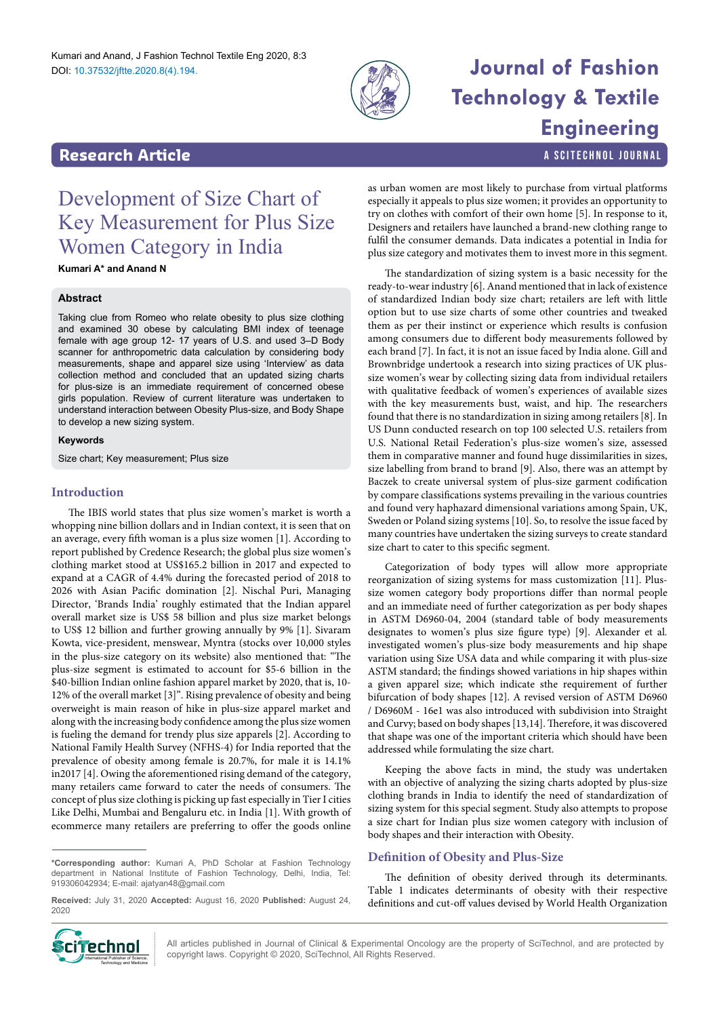

# **Journal of Fashion Technology & Textile Engineering**

a SciTechnol journal

### **Research Article**

## Development of Size Chart of Key Measurement for Plus Size Women Category in India

**Kumari A\* and Anand N**

#### **Abstract**

Taking clue from Romeo who relate obesity to plus size clothing and examined 30 obese by calculating BMI index of teenage female with age group 12- 17 years of U.S. and used 3–D Body scanner for anthropometric data calculation by considering body measurements, shape and apparel size using 'Interview' as data collection method and concluded that an updated sizing charts for plus-size is an immediate requirement of concerned obese girls population. Review of current literature was undertaken to understand interaction between Obesity Plus-size, and Body Shape to develop a new sizing system.

#### **Keywords**

Size chart; Key measurement; Plus size

#### **Introduction**

The IBIS world states that plus size women's market is worth a whopping nine billion dollars and in Indian context, it is seen that on an average, every fifth woman is a plus size women [1]. According to report published by Credence Research; the global plus size women's clothing market stood at US\$165.2 billion in 2017 and expected to expand at a CAGR of 4.4% during the forecasted period of 2018 to 2026 with Asian Pacific domination [2]. Nischal Puri, Managing Director, 'Brands India' roughly estimated that the Indian apparel overall market size is US\$ 58 billion and plus size market belongs to US\$ 12 billion and further growing annually by 9% [1]. Sivaram Kowta, vice-president, menswear, Myntra (stocks over 10,000 styles in the plus-size category on its website) also mentioned that: "The plus-size segment is estimated to account for \$5-6 billion in the \$40-billion Indian online fashion apparel market by 2020, that is, 10- 12% of the overall market [3]". Rising prevalence of obesity and being overweight is main reason of hike in plus-size apparel market and along with the increasing body confidence among the plus size women is fueling the demand for trendy plus size apparels [2]. According to National Family Health Survey (NFHS-4) for India reported that the prevalence of obesity among female is 20.7%, for male it is 14.1% in2017 [4]. Owing the aforementioned rising demand of the category, many retailers came forward to cater the needs of consumers. The concept of plus size clothing is picking up fast especially in Tier I cities Like Delhi, Mumbai and Bengaluru etc. in India [1]. With growth of ecommerce many retailers are preferring to offer the goods online

**\*Corresponding author:** Kumari A, PhD Scholar at Fashion Technology department in National Institute of Fashion Technology, Delhi, India, Tel: 919306042934; E-mail: ajatyan48@gmail.com

**Received:** July 31, 2020 **Accepted:** August 16, 2020 **Published:** August 24, 2020



All articles published in Journal of Clinical & Experimental Oncology are the property of SciTechnol, and are protected by **Cinemational Publisher of Science, All** All articles published in Journal of Clinical & Experimental Oncolo (<br>International Publisher of Science, and a copyright laws. Copyright © 2020, SciTechnol, All Rights Reserved.

as urban women are most likely to purchase from virtual platforms especially it appeals to plus size women; it provides an opportunity to try on clothes with comfort of their own home [5]. In response to it, Designers and retailers have launched a brand-new clothing range to fulfil the consumer demands. Data indicates a potential in India for plus size category and motivates them to invest more in this segment.

The standardization of sizing system is a basic necessity for the ready-to-wear industry [6]. Anand mentioned that in lack of existence of standardized Indian body size chart; retailers are left with little option but to use size charts of some other countries and tweaked them as per their instinct or experience which results is confusion among consumers due to different body measurements followed by each brand [7]. In fact, it is not an issue faced by India alone. Gill and Brownbridge undertook a research into sizing practices of UK plussize women's wear by collecting sizing data from individual retailers with qualitative feedback of women's experiences of available sizes with the key measurements bust, waist, and hip. The researchers found that there is no standardization in sizing among retailers [8]. In US Dunn conducted research on top 100 selected U.S. retailers from U.S. National Retail Federation's plus-size women's size, assessed them in comparative manner and found huge dissimilarities in sizes, size labelling from brand to brand [9]. Also, there was an attempt by Baczek to create universal system of plus-size garment codification by compare classifications systems prevailing in the various countries and found very haphazard dimensional variations among Spain, UK, Sweden or Poland sizing systems [10]. So, to resolve the issue faced by many countries have undertaken the sizing surveys to create standard size chart to cater to this specific segment.

Categorization of body types will allow more appropriate reorganization of sizing systems for mass customization [11]. Plussize women category body proportions differ than normal people and an immediate need of further categorization as per body shapes in ASTM D6960-04, 2004 (standard table of body measurements designates to women's plus size figure type) [9]. Alexander et al*.* investigated women's plus-size body measurements and hip shape variation using Size USA data and while comparing it with plus-size ASTM standard; the findings showed variations in hip shapes within a given apparel size; which indicate sthe requirement of further bifurcation of body shapes [12]. A revised version of ASTM D6960 / D6960M - 16e1 was also introduced with subdivision into Straight and Curvy; based on body shapes [13,14]. Therefore, it was discovered that shape was one of the important criteria which should have been addressed while formulating the size chart.

Keeping the above facts in mind, the study was undertaken with an objective of analyzing the sizing charts adopted by plus-size clothing brands in India to identify the need of standardization of sizing system for this special segment. Study also attempts to propose a size chart for Indian plus size women category with inclusion of body shapes and their interaction with Obesity.

#### **Definition of Obesity and Plus-Size**

The definition of obesity derived through its determinants. Table 1 indicates determinants of obesity with their respective definitions and cut-off values devised by World Health Organization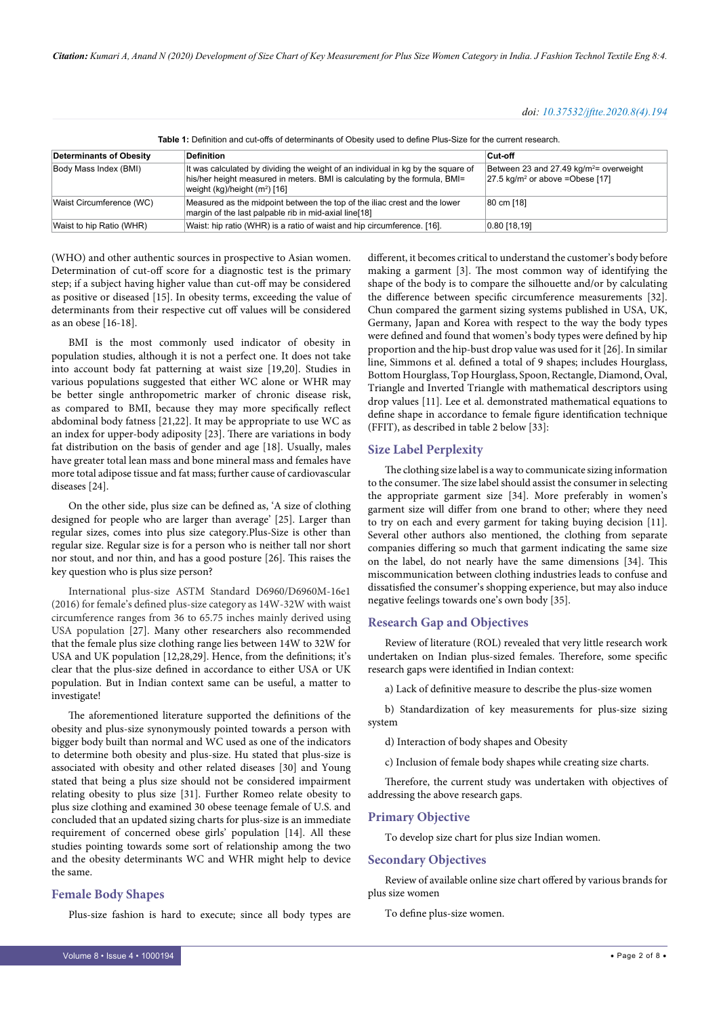| Table 1: Definition and cut-offs of determinants of Obesity used to define Plus-Size for the current research. |                                                                                                                                                                                                             |                                                                                           |  |  |  |  |  |  |  |
|----------------------------------------------------------------------------------------------------------------|-------------------------------------------------------------------------------------------------------------------------------------------------------------------------------------------------------------|-------------------------------------------------------------------------------------------|--|--|--|--|--|--|--|
| <b>Determinants of Obesity</b>                                                                                 | <b>Definition</b>                                                                                                                                                                                           | Cut-off                                                                                   |  |  |  |  |  |  |  |
| Body Mass Index (BMI)                                                                                          | It was calculated by dividing the weight of an individual in kg by the square of<br>his/her height measured in meters. BMI is calculating by the formula, BMI=<br>weight (kg)/height (m <sup>2</sup> ) [16] | Between 23 and 27.49 $kg/m^2$ = overweight<br>$27.5 \text{ kg/m}^2$ or above = Obese [17] |  |  |  |  |  |  |  |
| Waist Circumference (WC)                                                                                       | Measured as the midpoint between the top of the iliac crest and the lower<br>margin of the last palpable rib in mid-axial line[18]                                                                          | 80 cm [18]                                                                                |  |  |  |  |  |  |  |
| Waist to hip Ratio (WHR)                                                                                       | Waist: hip ratio (WHR) is a ratio of waist and hip circumference. [16].                                                                                                                                     | 0.80 18.19                                                                                |  |  |  |  |  |  |  |

(WHO) and other authentic sources in prospective to Asian women. Determination of cut-off score for a diagnostic test is the primary step; if a subject having higher value than cut-off may be considered as positive or diseased [15]. In obesity terms, exceeding the value of determinants from their respective cut off values will be considered as an obese [16-18].

BMI is the most commonly used indicator of obesity in population studies, although it is not a perfect one. It does not take into account body fat patterning at waist size [19,20]. Studies in various populations suggested that either WC alone or WHR may be better single anthropometric marker of chronic disease risk, as compared to BMI, because they may more specifically reflect abdominal body fatness [21,22]. It may be appropriate to use WC as an index for upper-body adiposity [23]. There are variations in body fat distribution on the basis of gender and age [18]. Usually, males have greater total lean mass and bone mineral mass and females have more total adipose tissue and fat mass; further cause of cardiovascular diseases [24].

On the other side, plus size can be defined as, 'A size of clothing designed for people who are larger than average' [25]. Larger than regular sizes, comes into plus size category.Plus-Size is other than regular size. Regular size is for a person who is neither tall nor short nor stout, and nor thin, and has a good posture [26]. This raises the key question who is plus size person?

International plus-size ASTM Standard D6960/D6960M-16e1 (2016) for female's defined plus-size category as 14W-32W with waist circumference ranges from 36 to 65.75 inches mainly derived using USA population [27]. Many other researchers also recommended that the female plus size clothing range lies between 14W to 32W for USA and UK population [12,28,29]. Hence, from the definitions; it's clear that the plus-size defined in accordance to either USA or UK population. But in Indian context same can be useful, a matter to investigate!

The aforementioned literature supported the definitions of the obesity and plus-size synonymously pointed towards a person with bigger body built than normal and WC used as one of the indicators to determine both obesity and plus-size. Hu stated that plus-size is associated with obesity and other related diseases [30] and Young stated that being a plus size should not be considered impairment relating obesity to plus size [31]. Further Romeo relate obesity to plus size clothing and examined 30 obese teenage female of U.S. and concluded that an updated sizing charts for plus-size is an immediate requirement of concerned obese girls' population [14]. All these studies pointing towards some sort of relationship among the two and the obesity determinants WC and WHR might help to device the same.

#### **Female Body Shapes**

Plus-size fashion is hard to execute; since all body types are

different, it becomes critical to understand the customer's body before making a garment [3]. The most common way of identifying the shape of the body is to compare the silhouette and/or by calculating the difference between specific circumference measurements [32]. Chun compared the garment sizing systems published in USA, UK, Germany, Japan and Korea with respect to the way the body types were defined and found that women's body types were defined by hip proportion and the hip-bust drop value was used for it [26]. In similar line, Simmons et al. defined a total of 9 shapes; includes Hourglass, Bottom Hourglass, Top Hourglass, Spoon, Rectangle, Diamond, Oval, Triangle and Inverted Triangle with mathematical descriptors using drop values [11]. Lee et al. demonstrated mathematical equations to define shape in accordance to female figure identification technique (FFIT), as described in table 2 below [33]:

#### **Size Label Perplexity**

The clothing size label is a way to communicate sizing information to the consumer. The size label should assist the consumer in selecting the appropriate garment size [34]. More preferably in women's garment size will differ from one brand to other; where they need to try on each and every garment for taking buying decision [11]. Several other authors also mentioned, the clothing from separate companies differing so much that garment indicating the same size on the label, do not nearly have the same dimensions [34]. This miscommunication between clothing industries leads to confuse and dissatisfied the consumer's shopping experience, but may also induce negative feelings towards one's own body [35].

#### **Research Gap and Objectives**

Review of literature (ROL) revealed that very little research work undertaken on Indian plus-sized females. Therefore, some specific research gaps were identified in Indian context:

a) Lack of definitive measure to describe the plus-size women

b) Standardization of key measurements for plus-size sizing system

d) Interaction of body shapes and Obesity

c) Inclusion of female body shapes while creating size charts.

Therefore, the current study was undertaken with objectives of addressing the above research gaps.

#### **Primary Objective**

To develop size chart for plus size Indian women.

#### **Secondary Objectives**

Review of available online size chart offered by various brands for plus size women

To define plus-size women.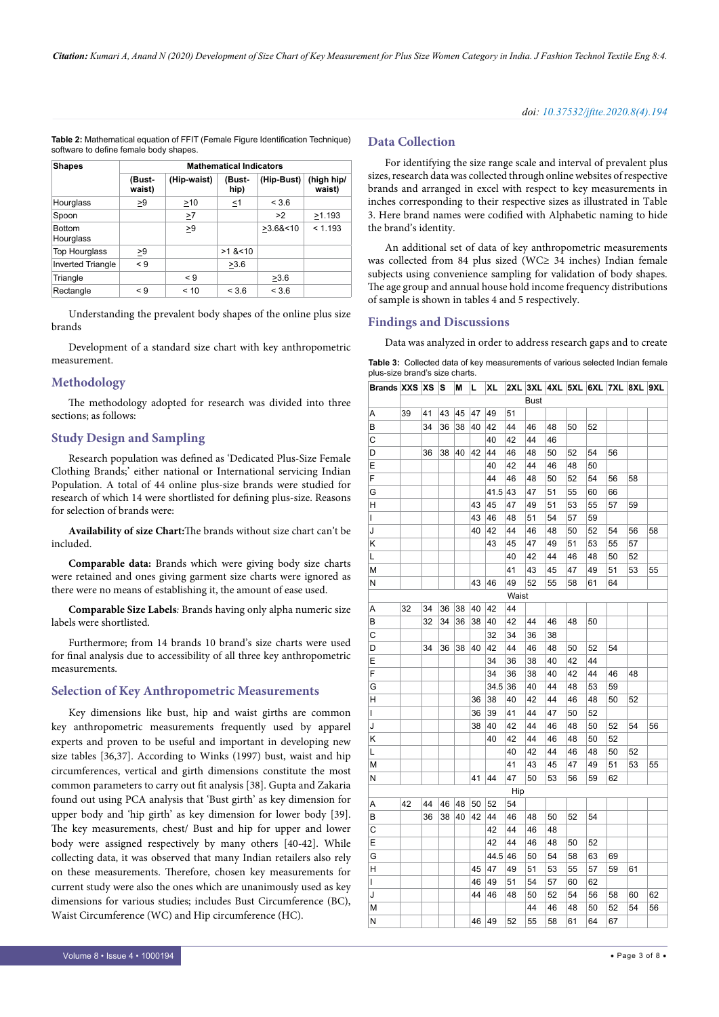**Table 2:** Mathematical equation of FFIT (Female Figure Identification Technique) software to define female body shapes.

| <b>Shapes</b>              |                  |             | <b>Mathematical Indicators</b> |            |                      |
|----------------------------|------------------|-------------|--------------------------------|------------|----------------------|
|                            | (Bust-<br>waist) | (Hip-waist) | (Bust-<br>hip)                 | (Hip-Bust) | (high hip/<br>waist) |
| Hourglass                  | >9               | >10         | ≤1                             | < 3.6      |                      |
| Spoon                      |                  | >7          |                                | >2         | >1.193               |
| <b>Bottom</b><br>Hourglass |                  | >9          |                                | >3.68<10   | < 1.193              |
| <b>Top Hourglass</b>       | >9               |             | $>1$ & $<$ 10                  |            |                      |
| <b>Inverted Triangle</b>   | $\leq 9$         |             | >3.6                           |            |                      |
| Triangle                   |                  | $\leq 9$    |                                | >3.6       |                      |
| Rectangle                  | $\leq 9$         | < 10        | < 3.6                          | < 3.6      |                      |

Understanding the prevalent body shapes of the online plus size brands

Development of a standard size chart with key anthropometric measurement.

#### **Methodology**

The methodology adopted for research was divided into three sections; as follows:

#### **Study Design and Sampling**

Research population was defined as 'Dedicated Plus-Size Female Clothing Brands;' either national or International servicing Indian Population. A total of 44 online plus-size brands were studied for research of which 14 were shortlisted for defining plus-size. Reasons for selection of brands were:

**Availability of size Chart:**The brands without size chart can't be included.

**Comparable data:** Brands which were giving body size charts were retained and ones giving garment size charts were ignored as there were no means of establishing it, the amount of ease used.

**Comparable Size Labels***:* Brands having only alpha numeric size labels were shortlisted.

Furthermore; from 14 brands 10 brand's size charts were used for final analysis due to accessibility of all three key anthropometric measurements.

#### **Selection of Key Anthropometric Measurements**

Key dimensions like bust, hip and waist girths are common key anthropometric measurements frequently used by apparel experts and proven to be useful and important in developing new size tables [36,37]. According to Winks (1997) bust, waist and hip circumferences, vertical and girth dimensions constitute the most common parameters to carry out fit analysis [38]. Gupta and Zakaria found out using PCA analysis that 'Bust girth' as key dimension for upper body and 'hip girth' as key dimension for lower body [39]. The key measurements, chest/ Bust and hip for upper and lower body were assigned respectively by many others [40-42]. While collecting data, it was observed that many Indian retailers also rely on these measurements. Therefore, chosen key measurements for current study were also the ones which are unanimously used as key dimensions for various studies; includes Bust Circumference (BC), Waist Circumference (WC) and Hip circumference (HC).

#### **Data Collection**

For identifying the size range scale and interval of prevalent plus sizes, research data was collected through online websites of respective brands and arranged in excel with respect to key measurements in inches corresponding to their respective sizes as illustrated in Table 3. Here brand names were codified with Alphabetic naming to hide the brand's identity.

An additional set of data of key anthropometric measurements was collected from 84 plus sized (WC≥ 34 inches) Indian female subjects using convenience sampling for validation of body shapes. The age group and annual house hold income frequency distributions of sample is shown in tables 4 and 5 respectively.

#### **Findings and Discussions**

Data was analyzed in order to address research gaps and to create

| <b>Table 3:</b> Collected data of key measurements of various selected Indian female |  |  |  |
|--------------------------------------------------------------------------------------|--|--|--|
| plus-size brand's size charts.                                                       |  |  |  |

| Brands XXS XS |    |    | s  | М  | L  | XL   | 2XL   | 3XL         | 4XL | 5XL | 6XL | 7XL | 8XL | 9XL |
|---------------|----|----|----|----|----|------|-------|-------------|-----|-----|-----|-----|-----|-----|
|               |    |    |    |    |    |      |       | <b>Bust</b> |     |     |     |     |     |     |
| А             | 39 | 41 | 43 | 45 | 47 | 49   | 51    |             |     |     |     |     |     |     |
| В             |    | 34 | 36 | 38 | 40 | 42   | 44    | 46          | 48  | 50  | 52  |     |     |     |
| С             |    |    |    |    |    | 40   | 42    | 44          | 46  |     |     |     |     |     |
| D             |    | 36 | 38 | 40 | 42 | 44   | 46    | 48          | 50  | 52  | 54  | 56  |     |     |
| Ε             |    |    |    |    |    | 40   | 42    | 44          | 46  | 48  | 50  |     |     |     |
| F             |    |    |    |    |    | 44   | 46    | 48          | 50  | 52  | 54  | 56  | 58  |     |
| G             |    |    |    |    |    | 41.5 | 43    | 47          | 51  | 55  | 60  | 66  |     |     |
| Н             |    |    |    |    | 43 | 45   | 47    | 49          | 51  | 53  | 55  | 57  | 59  |     |
| L             |    |    |    |    | 43 | 46   | 48    | 51          | 54  | 57  | 59  |     |     |     |
| J             |    |    |    |    | 40 | 42   | 44    | 46          | 48  | 50  | 52  | 54  | 56  | 58  |
| Κ             |    |    |    |    |    | 43   | 45    | 47          | 49  | 51  | 53  | 55  | 57  |     |
| L             |    |    |    |    |    |      | 40    | 42          | 44  | 46  | 48  | 50  | 52  |     |
| м             |    |    |    |    |    |      | 41    | 43          | 45  | 47  | 49  | 51  | 53  | 55  |
| N             |    |    |    |    | 43 | 46   | 49    | 52          | 55  | 58  | 61  | 64  |     |     |
|               |    |    |    |    |    |      | Waist |             |     |     |     |     |     |     |
| Α             | 32 | 34 | 36 | 38 | 40 | 42   | 44    |             |     |     |     |     |     |     |
| В             |    | 32 | 34 | 36 | 38 | 40   | 42    | 44          | 46  | 48  | 50  |     |     |     |
| C             |    |    |    |    |    | 32   | 34    | 36          | 38  |     |     |     |     |     |
| D             |    | 34 | 36 | 38 | 40 | 42   | 44    | 46          | 48  | 50  | 52  | 54  |     |     |
| Е             |    |    |    |    |    | 34   | 36    | 38          | 40  | 42  | 44  |     |     |     |
| F             |    |    |    |    |    | 34   | 36    | 38          | 40  | 42  | 44  | 46  | 48  |     |
| G             |    |    |    |    |    | 34.5 | 36    | 40          | 44  | 48  | 53  | 59  |     |     |
| н             |    |    |    |    | 36 | 38   | 40    | 42          | 44  | 46  | 48  | 50  | 52  |     |
| L             |    |    |    |    | 36 | 39   | 41    | 44          | 47  | 50  | 52  |     |     |     |
| J             |    |    |    |    | 38 | 40   | 42    | 44          | 46  | 48  | 50  | 52  | 54  | 56  |
| Κ             |    |    |    |    |    | 40   | 42    | 44          | 46  | 48  | 50  | 52  |     |     |
| L             |    |    |    |    |    |      | 40    | 42          | 44  | 46  | 48  | 50  | 52  |     |
| М             |    |    |    |    |    |      | 41    | 43          | 45  | 47  | 49  | 51  | 53  | 55  |
| Ν             |    |    |    |    | 41 | 44   | 47    | 50          | 53  | 56  | 59  | 62  |     |     |
|               |    |    |    |    |    |      | Hip   |             |     |     |     |     |     |     |
| А             | 42 | 44 | 46 | 48 | 50 | 52   | 54    |             |     |     |     |     |     |     |
| В             |    | 36 | 38 | 40 | 42 | 44   | 46    | 48          | 50  | 52  | 54  |     |     |     |
| С             |    |    |    |    |    | 42   | 44    | 46          | 48  |     |     |     |     |     |
| Ε             |    |    |    |    |    | 42   | 44    | 46          | 48  | 50  | 52  |     |     |     |
| G             |    |    |    |    |    | 44.5 | 46    | 50          | 54  | 58  | 63  | 69  |     |     |
| Н             |    |    |    |    | 45 | 47   | 49    | 51          | 53  | 55  | 57  | 59  | 61  |     |
| L             |    |    |    |    | 46 | 49   | 51    | 54          | 57  | 60  | 62  |     |     |     |
| J             |    |    |    |    | 44 | 46   | 48    | 50          | 52  | 54  | 56  | 58  | 60  | 62  |
| М             |    |    |    |    |    |      |       | 44          | 46  | 48  | 50  | 52  | 54  | 56  |
| N             |    |    |    |    | 46 | 49   | 52    | 55          | 58  | 61  | 64  | 67  |     |     |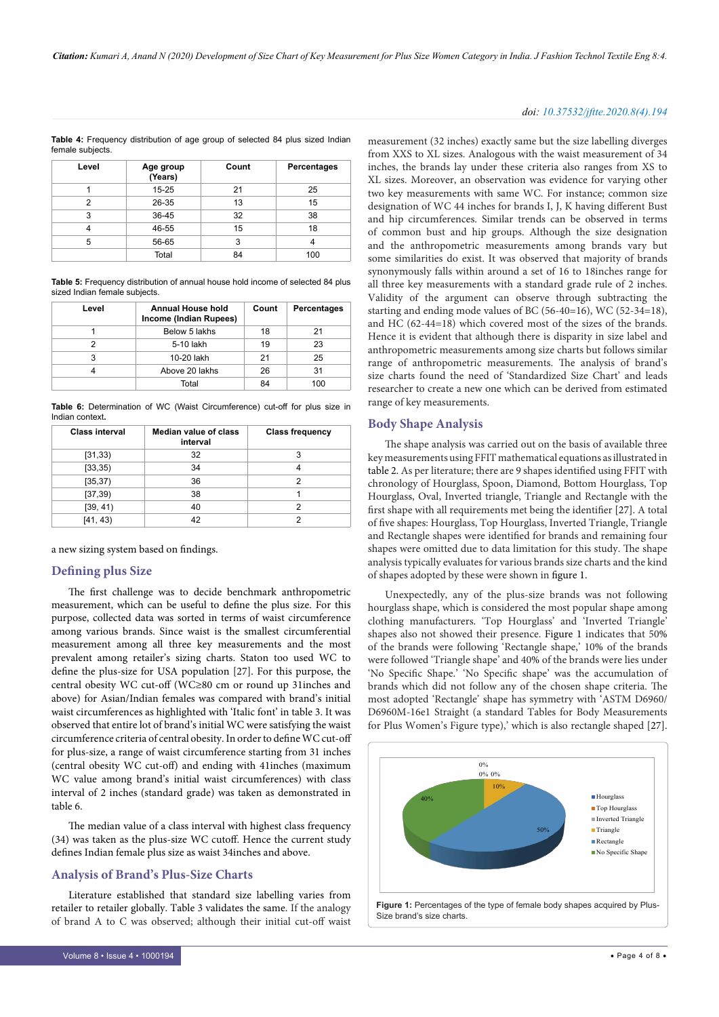#### *doi: 10.37532/jftte.2020.8(4).194*

**Table 4:** Frequency distribution of age group of selected 84 plus sized Indian female subjects.

| Level | Age group<br>(Years) | Count | Percentages |
|-------|----------------------|-------|-------------|
|       | 15-25                | 21    | 25          |
| 2     | 26-35                | 13    | 15          |
| 3     | 36-45                | 32    | 38          |
|       | 46-55                | 15    | 18          |
| 5     | 56-65                | 3     |             |
|       | Total                | 84    | 100         |

**Table 5:** Frequency distribution of annual house hold income of selected 84 plus sized Indian female subjects.

| Level | <b>Annual House hold</b><br>Income (Indian Rupees) | Count | Percentages |
|-------|----------------------------------------------------|-------|-------------|
|       | Below 5 lakhs                                      | 18    | 21          |
|       | 5-10 lakh                                          | 19    | 23          |
| 3     | 10-20 lakh                                         | 21    | 25          |
|       | Above 20 lakhs                                     | 26    | 31          |
|       | Total                                              | 84    | 100         |

**Table 6:** Determination of WC (Waist Circumference) cut-off for plus size in Indian context**.**

| <b>Class interval</b> | <b>Median value of class</b><br>interval | <b>Class frequency</b> |
|-----------------------|------------------------------------------|------------------------|
| [31, 33]              | 32                                       | 3                      |
| [33, 35)              | 34                                       |                        |
| [35, 37)              | 36                                       | 2                      |
| [37, 39)              | 38                                       |                        |
| [39, 41]              | 40                                       | 2                      |
| [41, 43]              | 42                                       | っ                      |

a new sizing system based on findings.

#### **Defining plus Size**

The first challenge was to decide benchmark anthropometric measurement, which can be useful to define the plus size. For this purpose, collected data was sorted in terms of waist circumference among various brands. Since waist is the smallest circumferential measurement among all three key measurements and the most prevalent among retailer's sizing charts. Staton too used WC to define the plus-size for USA population [27]. For this purpose, the central obesity WC cut-off (WC≥80 cm or round up 31inches and above) for Asian/Indian females was compared with brand's initial waist circumferences as highlighted with 'Italic font' in table 3. It was observed that entire lot of brand's initial WC were satisfying the waist circumference criteria of central obesity. In order to define WC cut-off for plus-size, a range of waist circumference starting from 31 inches (central obesity WC cut-off) and ending with 41inches (maximum WC value among brand's initial waist circumferences) with class interval of 2 inches (standard grade) was taken as demonstrated in table 6.

The median value of a class interval with highest class frequency (34) was taken as the plus-size WC cutoff. Hence the current study defines Indian female plus size as waist 34inches and above.

#### **Analysis of Brand's Plus-Size Charts**

Literature established that standard size labelling varies from retailer to retailer globally. Table 3 validates the same. If the analogy of brand A to C was observed; although their initial cut-off waist

measurement (32 inches) exactly same but the size labelling diverges from XXS to XL sizes. Analogous with the waist measurement of 34 inches, the brands lay under these criteria also ranges from XS to XL sizes. Moreover, an observation was evidence for varying other two key measurements with same WC. For instance; common size designation of WC 44 inches for brands I, J, K having different Bust and hip circumferences. Similar trends can be observed in terms of common bust and hip groups. Although the size designation and the anthropometric measurements among brands vary but some similarities do exist. It was observed that majority of brands synonymously falls within around a set of 16 to 18inches range for all three key measurements with a standard grade rule of 2 inches. Validity of the argument can observe through subtracting the starting and ending mode values of BC (56-40=16), WC (52-34=18), and HC (62-44=18) which covered most of the sizes of the brands. Hence it is evident that although there is disparity in size label and anthropometric measurements among size charts but follows similar range of anthropometric measurements. The analysis of brand's size charts found the need of 'Standardized Size Chart' and leads researcher to create a new one which can be derived from estimated range of key measurements.

#### **Body Shape Analysis**

The shape analysis was carried out on the basis of available three key measurements using FFIT mathematical equations as illustrated in table 2. As per literature; there are 9 shapes identified using FFIT with chronology of Hourglass, Spoon, Diamond, Bottom Hourglass, Top Hourglass, Oval, Inverted triangle, Triangle and Rectangle with the first shape with all requirements met being the identifier [27]. A total of five shapes: Hourglass, Top Hourglass, Inverted Triangle, Triangle and Rectangle shapes were identified for brands and remaining four shapes were omitted due to data limitation for this study. The shape analysis typically evaluates for various brands size charts and the kind of shapes adopted by these were shown in figure 1.

Unexpectedly, any of the plus-size brands was not following hourglass shape, which is considered the most popular shape among clothing manufacturers. 'Top Hourglass' and 'Inverted Triangle' shapes also not showed their presence. Figure 1 indicates that 50% of the brands were following 'Rectangle shape,' 10% of the brands were followed 'Triangle shape' and 40% of the brands were lies under 'No Specific Shape.' 'No Specific shape' was the accumulation of brands which did not follow any of the chosen shape criteria. The most adopted 'Rectangle' shape has symmetry with 'ASTM D6960/ D6960M-16e1 Straight (a standard Tables for Body Measurements for Plus Women's Figure type),' which is also rectangle shaped [27].

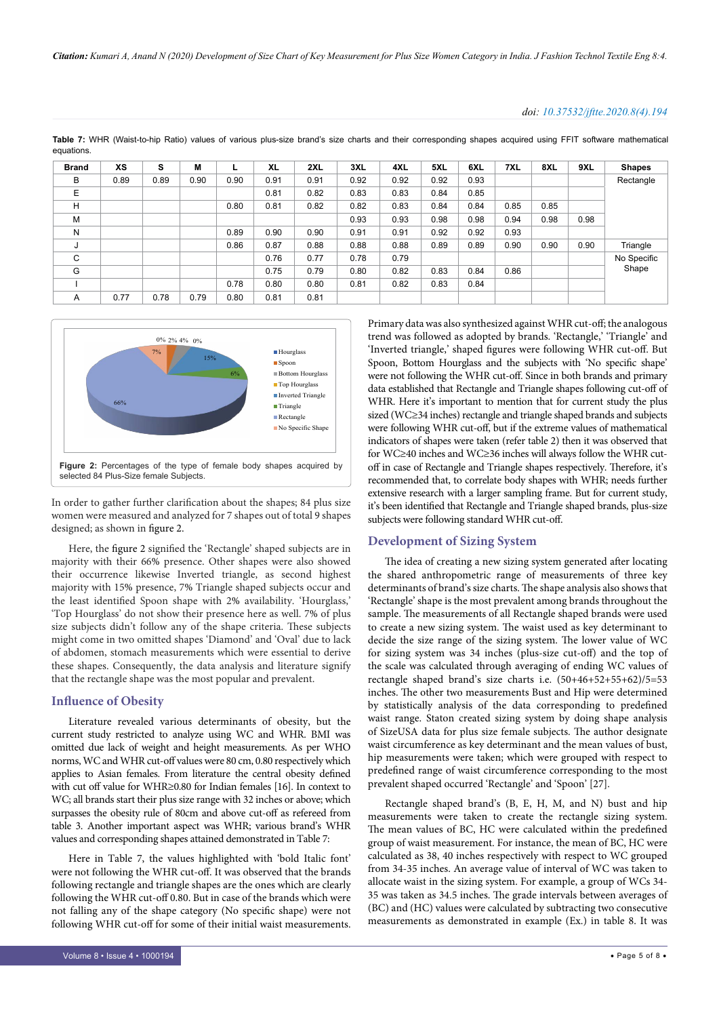*Citation: Kumari A, Anand N (2020) Development of Size Chart of Key Measurement for Plus Size Women Category in India. J Fashion Technol Textile Eng 8:4.*

#### *doi: 10.37532/jftte.2020.8(4).194*

| <b>Brand</b> | XS   | s    | M    |      | <b>XL</b> | 2XL  | 3XL  | 4XL  | 5XL  | 6XL  | 7XL  | 8XL  | 9XL  | <b>Shapes</b> |
|--------------|------|------|------|------|-----------|------|------|------|------|------|------|------|------|---------------|
| B            | 0.89 | 0.89 | 0.90 | 0.90 | 0.91      | 0.91 | 0.92 | 0.92 | 0.92 | 0.93 |      |      |      | Rectangle     |
| Ε            |      |      |      |      | 0.81      | 0.82 | 0.83 | 0.83 | 0.84 | 0.85 |      |      |      |               |
| H            |      |      |      | 0.80 | 0.81      | 0.82 | 0.82 | 0.83 | 0.84 | 0.84 | 0.85 | 0.85 |      |               |
| M            |      |      |      |      |           |      | 0.93 | 0.93 | 0.98 | 0.98 | 0.94 | 0.98 | 0.98 |               |
| N            |      |      |      | 0.89 | 0.90      | 0.90 | 0.91 | 0.91 | 0.92 | 0.92 | 0.93 |      |      |               |
| J            |      |      |      | 0.86 | 0.87      | 0.88 | 0.88 | 0.88 | 0.89 | 0.89 | 0.90 | 0.90 | 0.90 | Triangle      |
| C            |      |      |      |      | 0.76      | 0.77 | 0.78 | 0.79 |      |      |      |      |      | No Specific   |
| G            |      |      |      |      | 0.75      | 0.79 | 0.80 | 0.82 | 0.83 | 0.84 | 0.86 |      |      | Shape         |
|              |      |      |      | 0.78 | 0.80      | 0.80 | 0.81 | 0.82 | 0.83 | 0.84 |      |      |      |               |
| Α            | 0.77 | 0.78 | 0.79 | 0.80 | 0.81      | 0.81 |      |      |      |      |      |      |      |               |

**Table 7:** WHR (Waist-to-hip Ratio) values of various plus-size brand's size charts and their corresponding shapes acquired using FFIT software mathematical equations.



In order to gather further clarification about the shapes; 84 plus size women were measured and analyzed for 7 shapes out of total 9 shapes designed; as shown in figure 2.

Here, the figure 2 signified the 'Rectangle' shaped subjects are in majority with their 66% presence. Other shapes were also showed their occurrence likewise Inverted triangle, as second highest majority with 15% presence, 7% Triangle shaped subjects occur and the least identified Spoon shape with 2% availability. 'Hourglass,' 'Top Hourglass' do not show their presence here as well. 7% of plus size subjects didn't follow any of the shape criteria. These subjects might come in two omitted shapes 'Diamond' and 'Oval' due to lack of abdomen, stomach measurements which were essential to derive these shapes. Consequently, the data analysis and literature signify that the rectangle shape was the most popular and prevalent.

#### **Influence of Obesity**

Literature revealed various determinants of obesity, but the current study restricted to analyze using WC and WHR. BMI was omitted due lack of weight and height measurements. As per WHO norms, WC and WHR cut-off values were 80 cm, 0.80 respectively which applies to Asian females. From literature the central obesity defined with cut off value for WHR≥0.80 for Indian females [16]. In context to WC; all brands start their plus size range with 32 inches or above; which surpasses the obesity rule of 80cm and above cut-off as refereed from table 3. Another important aspect was WHR; various brand's WHR values and corresponding shapes attained demonstrated in Table 7:

Here in Table 7, the values highlighted with 'bold Italic font' were not following the WHR cut-off. It was observed that the brands following rectangle and triangle shapes are the ones which are clearly following the WHR cut-off 0.80. But in case of the brands which were not falling any of the shape category (No specific shape) were not following WHR cut-off for some of their initial waist measurements. Primary data was also synthesized against WHR cut-off; the analogous trend was followed as adopted by brands. 'Rectangle,' 'Triangle' and 'Inverted triangle,' shaped figures were following WHR cut-off. But Spoon, Bottom Hourglass and the subjects with 'No specific shape' were not following the WHR cut-off. Since in both brands and primary data established that Rectangle and Triangle shapes following cut-off of WHR. Here it's important to mention that for current study the plus sized (WC≥34 inches) rectangle and triangle shaped brands and subjects were following WHR cut-off, but if the extreme values of mathematical indicators of shapes were taken (refer table 2) then it was observed that for WC≥40 inches and WC≥36 inches will always follow the WHR cutoff in case of Rectangle and Triangle shapes respectively. Therefore, it's recommended that, to correlate body shapes with WHR; needs further extensive research with a larger sampling frame. But for current study, it's been identified that Rectangle and Triangle shaped brands, plus-size subjects were following standard WHR cut-off.

#### **Development of Sizing System**

The idea of creating a new sizing system generated after locating the shared anthropometric range of measurements of three key determinants of brand's size charts. The shape analysis also shows that 'Rectangle' shape is the most prevalent among brands throughout the sample. The measurements of all Rectangle shaped brands were used to create a new sizing system. The waist used as key determinant to decide the size range of the sizing system. The lower value of WC for sizing system was 34 inches (plus-size cut-off) and the top of the scale was calculated through averaging of ending WC values of rectangle shaped brand's size charts i.e. (50+46+52+55+62)/5=53 inches. The other two measurements Bust and Hip were determined by statistically analysis of the data corresponding to predefined waist range. Staton created sizing system by doing shape analysis of SizeUSA data for plus size female subjects. The author designate waist circumference as key determinant and the mean values of bust, hip measurements were taken; which were grouped with respect to predefined range of waist circumference corresponding to the most prevalent shaped occurred 'Rectangle' and 'Spoon' [27].

Rectangle shaped brand's (B, E, H, M, and N) bust and hip measurements were taken to create the rectangle sizing system. The mean values of BC, HC were calculated within the predefined group of waist measurement. For instance, the mean of BC, HC were calculated as 38, 40 inches respectively with respect to WC grouped from 34-35 inches. An average value of interval of WC was taken to allocate waist in the sizing system. For example, a group of WCs 34- 35 was taken as 34.5 inches. The grade intervals between averages of (BC) and (HC) values were calculated by subtracting two consecutive measurements as demonstrated in example (Ex.) in table 8. It was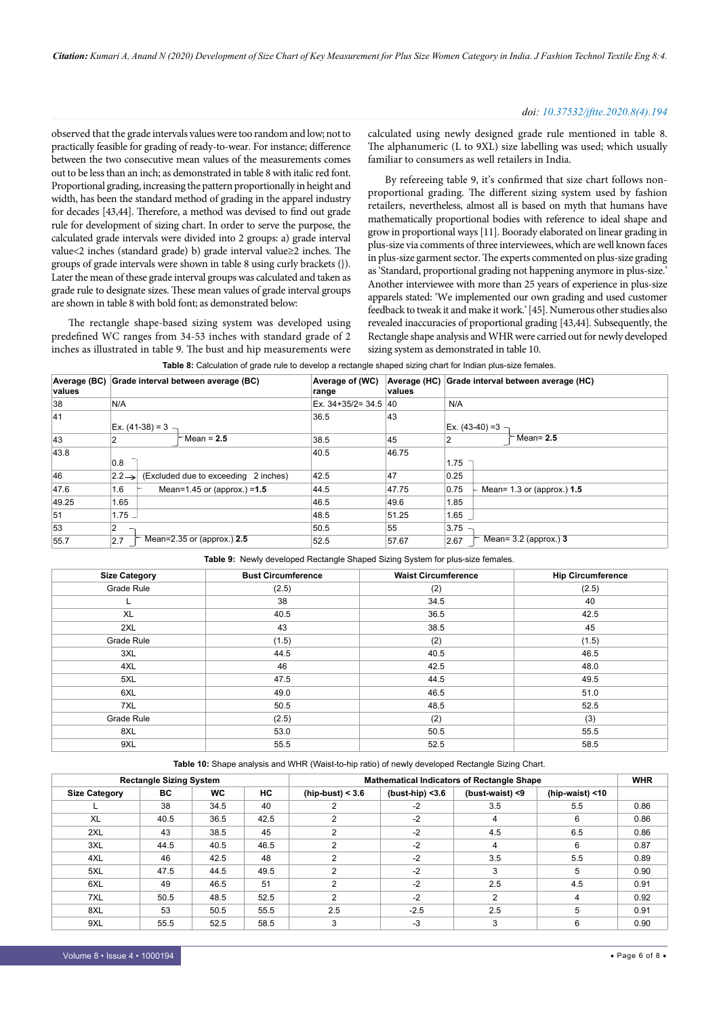#### *doi: 10.37532/jftte.2020.8(4).194*

observed that the grade intervals values were too random and low; not to practically feasible for grading of ready-to-wear. For instance; difference between the two consecutive mean values of the measurements comes out to be less than an inch; as demonstrated in table 8 with italic red font. Proportional grading, increasing the pattern proportionally in height and width, has been the standard method of grading in the apparel industry for decades [43,44]. Therefore, a method was devised to find out grade rule for development of sizing chart. In order to serve the purpose, the calculated grade intervals were divided into 2 groups: a) grade interval value<2 inches (standard grade) b) grade interval value≥2 inches. The groups of grade intervals were shown in table 8 using curly brackets (}). Later the mean of these grade interval groups was calculated and taken as grade rule to designate sizes. These mean values of grade interval groups are shown in table 8 with bold font; as demonstrated below:

The rectangle shape-based sizing system was developed using predefined WC ranges from 34-53 inches with standard grade of 2 inches as illustrated in table 9. The bust and hip measurements were

calculated using newly designed grade rule mentioned in table 8. The alphanumeric (L to 9XL) size labelling was used; which usually familiar to consumers as well retailers in India.

By refereeing table 9, it's confirmed that size chart follows nonproportional grading. The different sizing system used by fashion retailers, nevertheless, almost all is based on myth that humans have mathematically proportional bodies with reference to ideal shape and grow in proportional ways [11]. Boorady elaborated on linear grading in plus-size via comments of three interviewees, which are well known faces in plus-size garment sector. The experts commented on plus-size grading as 'Standard, proportional grading not happening anymore in plus-size.' Another interviewee with more than 25 years of experience in plus-size apparels stated: 'We implemented our own grading and used customer feedback to tweak it and make it work.' [45]. Numerous other studies also revealed inaccuracies of proportional grading [43,44]. Subsequently, the Rectangle shape analysis and WHR were carried out for newly developed sizing system as demonstrated in table 10.

| Average (BC)<br>values | Grade interval between average (BC)<br>Average of (WC)<br>range |                     |                                      |                       | Average (HC)<br>values | Grade interval between average (HC)         |  |  |  |
|------------------------|-----------------------------------------------------------------|---------------------|--------------------------------------|-----------------------|------------------------|---------------------------------------------|--|--|--|
| 38                     | N/A                                                             |                     |                                      | Ex. $34+35/2=34.5$ 40 |                        | N/A                                         |  |  |  |
| 41                     |                                                                 | $Ex. (41-38) = 3 -$ |                                      | 36.5                  | 43                     | $Ex. (43-40) = 3 -$                         |  |  |  |
| 43                     | 2                                                               |                     | $\Gamma$ Mean = 2.5                  | 38.5                  | 45                     | ੈ Mean= 2.5<br>2                            |  |  |  |
| 43.8                   | 0.8                                                             |                     |                                      | 40.5                  | 46.75                  | 1.75                                        |  |  |  |
| 46                     | $ 2.2 \rightarrow $                                             |                     | (Excluded due to exceeding 2 inches) | 42.5                  | 47                     | 0.25                                        |  |  |  |
| 47.6                   | 1.6                                                             |                     | Mean=1.45 or (approx.) = $1.5$       | 44.5                  | 47.75                  | 0.75<br>- Mean= 1.3 or (approx.) <b>1.5</b> |  |  |  |
| 49.25                  | 1.65                                                            |                     |                                      | 46.5                  | 49.6                   | 1.85                                        |  |  |  |
| 51                     |                                                                 | لـ 1.75             |                                      | 48.5                  | 51.25                  | 1.65                                        |  |  |  |
| 53                     | 2                                                               |                     |                                      | 50.5                  | 55                     | 3.75                                        |  |  |  |
| 55.7                   | 2.7                                                             |                     | Mean=2.35 or (approx.) 2.5           | 52.5                  | 57.67                  | Mean= $3.2$ (approx.) 3<br>2.67             |  |  |  |

| <b>Bust Circumference</b> | <b>Waist Circumference</b> | <b>Hip Circumference</b>                                                                    |  |  |  |  |  |  |  |  |  |
|---------------------------|----------------------------|---------------------------------------------------------------------------------------------|--|--|--|--|--|--|--|--|--|
| (2.5)                     | (2)                        | (2.5)                                                                                       |  |  |  |  |  |  |  |  |  |
| 38                        | 34.5                       | 40                                                                                          |  |  |  |  |  |  |  |  |  |
| 40.5                      | 36.5                       | 42.5                                                                                        |  |  |  |  |  |  |  |  |  |
| 43                        | 38.5                       | 45                                                                                          |  |  |  |  |  |  |  |  |  |
| (1.5)                     | (2)                        | (1.5)                                                                                       |  |  |  |  |  |  |  |  |  |
| 44.5                      | 40.5                       | 46.5                                                                                        |  |  |  |  |  |  |  |  |  |
| 46                        | 42.5                       | 48.0                                                                                        |  |  |  |  |  |  |  |  |  |
| 47.5                      | 44.5                       | 49.5                                                                                        |  |  |  |  |  |  |  |  |  |
| 49.0                      | 46.5                       | 51.0                                                                                        |  |  |  |  |  |  |  |  |  |
| 50.5                      | 48.5                       | 52.5                                                                                        |  |  |  |  |  |  |  |  |  |
| (2.5)                     | (2)                        | (3)                                                                                         |  |  |  |  |  |  |  |  |  |
| 53.0                      | 50.5                       | 55.5                                                                                        |  |  |  |  |  |  |  |  |  |
| 55.5                      | 52.5                       | 58.5                                                                                        |  |  |  |  |  |  |  |  |  |
|                           |                            | <b>Table 3.</b> The Will developed includingle Unaped Olzhing Oystem for plus-size females. |  |  |  |  |  |  |  |  |  |

#### **Table 9:** Newly developed Rectangle Shaped Sizing System for plus-size females.

**Table 10:** Shape analysis and WHR (Waist-to-hip ratio) of newly developed Rectangle Sizing Chart.

|                      | <b>Rectangle Sizing System</b> |           |      | <b>Mathematical Indicators of Rectangle Shape</b> |                    |                 |                    |      |  |  |
|----------------------|--------------------------------|-----------|------|---------------------------------------------------|--------------------|-----------------|--------------------|------|--|--|
| <b>Size Category</b> | ВC                             | <b>WC</b> | НC   | $(hip-bust) < 3.6$                                | (bust-hip) $<$ 3.6 | (bust-waist) <9 | (hip-waist) $<$ 10 |      |  |  |
|                      | 38                             | 34.5      | 40   | $\overline{2}$                                    | $-2$               | 3.5             | 5.5                | 0.86 |  |  |
| XL                   | 40.5                           | 36.5      | 42.5 | 2                                                 | $-2$               | 4               | 6                  | 0.86 |  |  |
| 2XL                  | 43                             | 38.5      | 45   | $\overline{2}$                                    | $-2$               | 4.5             | 6.5                | 0.86 |  |  |
| 3XL                  | 44.5                           | 40.5      | 46.5 | $\overline{2}$                                    | $-2$               | 4               | 6                  | 0.87 |  |  |
| 4XL                  | 46                             | 42.5      | 48   | $\overline{2}$                                    | $-2$               | 3.5             | 5.5                | 0.89 |  |  |
| 5XL                  | 47.5                           | 44.5      | 49.5 | 2                                                 | $-2$               | 3               | 5                  | 0.90 |  |  |
| 6XL                  | 49                             | 46.5      | 51   | $\overline{2}$                                    | $-2$               | 2.5             | 4.5                | 0.91 |  |  |
| 7XL                  | 50.5                           | 48.5      | 52.5 | 2                                                 | $-2$               | 2               | 4                  | 0.92 |  |  |
| 8XL                  | 53                             | 50.5      | 55.5 | 2.5                                               | $-2.5$             | 2.5             | 5                  | 0.91 |  |  |
| 9XL                  | 55.5                           | 52.5      | 58.5 | 3                                                 | $-3$               | 3               | 6                  | 0.90 |  |  |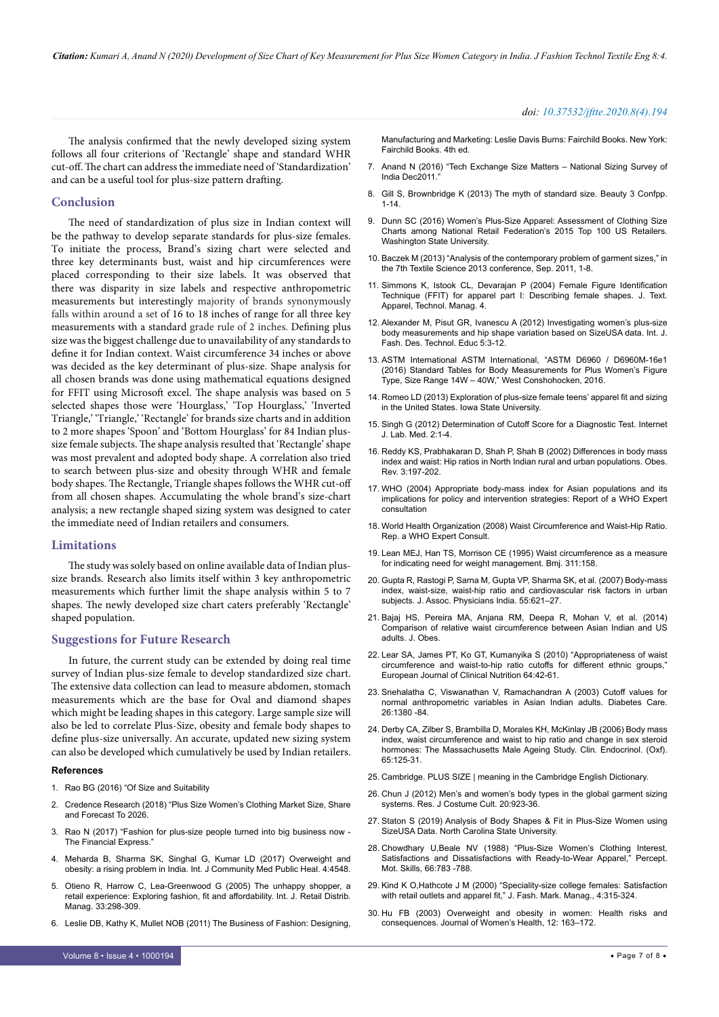*Citation: Kumari A, Anand N (2020) Development of Size Chart of Key Measurement for Plus Size Women Category in India. J Fashion Technol Textile Eng 8:4.*

#### *doi: 10.37532/jftte.2020.8(4).194*

The analysis confirmed that the newly developed sizing system follows all four criterions of 'Rectangle' shape and standard WHR cut-off. The chart can address the immediate need of 'Standardization' and can be a useful tool for plus-size pattern drafting.

#### **Conclusion**

The need of standardization of plus size in Indian context will be the pathway to develop separate standards for plus-size females. To initiate the process, Brand's sizing chart were selected and three key determinants bust, waist and hip circumferences were placed corresponding to their size labels. It was observed that there was disparity in size labels and respective anthropometric measurements but interestingly majority of brands synonymously falls within around a set of 16 to 18 inches of range for all three key measurements with a standard grade rule of 2 inches. Defining plus size was the biggest challenge due to unavailability of any standards to define it for Indian context. Waist circumference 34 inches or above was decided as the key determinant of plus-size. Shape analysis for all chosen brands was done using mathematical equations designed for FFIT using Microsoft excel. The shape analysis was based on 5 selected shapes those were 'Hourglass,' 'Top Hourglass,' 'Inverted Triangle,' 'Triangle,' 'Rectangle' for brands size charts and in addition to 2 more shapes 'Spoon' and 'Bottom Hourglass' for 84 Indian plussize female subjects. The shape analysis resulted that 'Rectangle' shape was most prevalent and adopted body shape. A correlation also tried to search between plus-size and obesity through WHR and female body shapes. The Rectangle, Triangle shapes follows the WHR cut-off from all chosen shapes. Accumulating the whole brand's size-chart analysis; a new rectangle shaped sizing system was designed to cater the immediate need of Indian retailers and consumers.

#### **Limitations**

The study was solely based on online available data of Indian plussize brands. Research also limits itself within 3 key anthropometric measurements which further limit the shape analysis within 5 to 7 shapes. The newly developed size chart caters preferably 'Rectangle' shaped population.

#### **Suggestions for Future Research**

In future, the current study can be extended by doing real time survey of Indian plus-size female to develop standardized size chart. The extensive data collection can lead to measure abdomen, stomach measurements which are the base for Oval and diamond shapes which might be leading shapes in this category. Large sample size will also be led to correlate Plus-Size, obesity and female body shapes to define plus-size universally. An accurate, updated new sizing system can also be developed which cumulatively be used by Indian retailers.

#### **References**

- 1. [Rao BG \(2016\) "Of Size and Suitability](http://www.bindugopalrao.com/wp-content/uploads/2016/09/Plus-size.pdf)
- 2. Credence Research (2018) "Plus Size Women's Clothing Market Size, Share and Forecast To 2026.
- 3. [Rao N \(2017\) "Fashion for plus-size people turned into big business now](https://www.financialexpress.com/lifestyle/fashion-for-plus-size-people-turned-into-big-business-now/755388/)  [The Financial Express."](https://www.financialexpress.com/lifestyle/fashion-for-plus-size-people-turned-into-big-business-now/755388/)
- 4. Meharda B, Sharma SK, Singhal G, Kumar LD (2017) Overweight and obesity: a rising problem in India. Int. J Community Med Public Heal. 4:4548.
- 5. [Otieno R, Harrow C, Lea-Greenwood G \(2005\) The unhappy shopper, a](https://www.emerald.com/insight/content/doi/10.1108/09590550510593220/full/html)  [retail experience: Exploring fashion, fit and affordability. Int. J. Retail Distrib.](https://www.emerald.com/insight/content/doi/10.1108/09590550510593220/full/html)  [Manag. 33:298-309.](https://www.emerald.com/insight/content/doi/10.1108/09590550510593220/full/html)
- 6. Leslie DB, Kathy K, Mullet NOB (2011) The Business of Fashion: Designing,

Manufacturing and Marketing: Leslie Davis Burns: Fairchild Books. New York: Fairchild Books. 4th ed.

- 7. [Anand N \(2016\) "Tech Exchange Size Matters National Sizing Survey of](https://www.researchgate.net/publication/307898495_Tech_Exchange_Size_Matters_-_National_Sizing_Survey_of_India_Dec2011)  [India Dec2011."](https://www.researchgate.net/publication/307898495_Tech_Exchange_Size_Matters_-_National_Sizing_Survey_of_India_Dec2011)
- 8. Gill S, Brownbridge K (2013) The myth of standard size. Beauty 3 Confpp. 1-14.
- 9. [Dunn SC \(2016\) Women's Plus-Size Apparel: Assessment of Clothing Size](http://www.dissertations.wsu.edu/Thesis/Spring2016/S_Dunn_060116.pdf)  [Charts among National Retail Federation's 2015 Top 100 US Retailers.](http://www.dissertations.wsu.edu/Thesis/Spring2016/S_Dunn_060116.pdf)  [Washington State University.](http://www.dissertations.wsu.edu/Thesis/Spring2016/S_Dunn_060116.pdf)
- 10. Baczek M (2013) "Analysis of the contemporary problem of garment sizes," in the 7th Textile Science 2013 conference, Sep. 2011, 1-8.
- 11. [Simmons K, Istook CL, Devarajan P \(2004\) Female Figure Identification](http://citeseerx.ist.psu.edu/viewdoc/download?doi=10.1.1.200.7907&rep=rep1&type=pdf)  [Technique \(FFIT\) for apparel part I: Describing female shapes. J. Text.](http://citeseerx.ist.psu.edu/viewdoc/download?doi=10.1.1.200.7907&rep=rep1&type=pdf)  [Apparel, Technol. Manag. 4.](http://citeseerx.ist.psu.edu/viewdoc/download?doi=10.1.1.200.7907&rep=rep1&type=pdf)
- 12. [Alexander M, Pisut GR, Ivanescu A \(2012\) Investigating women's plus-size](https://doi.org/10.1080/17543266.2011.589083)  [body measurements and hip shape variation based on SizeUSA data. Int. J.](https://doi.org/10.1080/17543266.2011.589083)  [Fash. Des. Technol. Educ 5:3-12.](https://doi.org/10.1080/17543266.2011.589083)
- 13. ASTM International ASTM International, "ASTM D6960 / D6960M-16e1 (2016) Standard Tables for Body Measurements for Plus Women's Figure Type, Size Range 14W – 40W," West Conshohocken, 2016.
- 14. [Romeo LD \(2013\) Exploration of plus-size female teens' apparel fit and sizing](https://lib.dr.iastate.edu/cgi/viewcontent.cgi?article=4497&context=etd)  [in the United States. Iowa State University.](https://lib.dr.iastate.edu/cgi/viewcontent.cgi?article=4497&context=etd)
- 15. Singh G (2012) Determination of Cutoff Score for a Diagnostic Test. Internet J. Lab. Med. 2:1-4.
- 16. Reddy KS, Prabhakaran D, Shah P, Shah B (2002) Differences in body mass index and waist: Hip ratios in North Indian rural and urban populations. Obes. Rev. 3:197-202.
- 17. WHO (2004) Appropriate body-mass index for Asian populations and its implications for policy and intervention strategies: Report of a WHO Expert consultation
- 18. World Health Organization (2008) Waist Circumference and Waist-Hip Ratio. Rep. a WHO Expert Consult.
- 19. [Lean MEJ, Han TS, Morrison CE \(1995\) Waist circumference as a measure](https://doi.org/10.1136/bmj.311.6998.158)  [for indicating need for weight management. Bmj. 311:158.](https://doi.org/10.1136/bmj.311.6998.158)
- 20. Gupta R, Rastogi P, Sarna M, Gupta VP, Sharma SK, et al. (2007) Body-mass index, waist-size, waist-hip ratio and cardiovascular risk factors in urban subjects. J. Assoc. Physicians India. 55:621–27.
- 21. Bajaj HS, Pereira MA, Anjana RM, Deepa R, Mohan V, et al. (2014) Comparison of relative waist circumference between Asian Indian and US adults. J. Obes.
- 22. [Lear SA, James PT, Ko GT, Kumanyika S \(2010\) "Appropriateness of waist](DOIhttps://doi.org/10.1038/ejcn.2009.70)  [circumference and waist-to-hip ratio cutoffs for different ethnic groups,"](DOIhttps://doi.org/10.1038/ejcn.2009.70)  [European Journal of Clinical Nutrition 64:42-61.](DOIhttps://doi.org/10.1038/ejcn.2009.70)
- 23. [Snehalatha C, Viswanathan V, Ramachandran A \(2003\) Cutoff values for](https://doi.org/10.2337/diacare.26.5.1380)  [normal anthropometric variables in Asian Indian adults. Diabetes Care.](https://doi.org/10.2337/diacare.26.5.1380)  [26:1380 -84.](https://doi.org/10.2337/diacare.26.5.1380)
- 24. [Derby CA, Zilber S, Brambilla D, Morales KH, McKinlay JB \(2006\) Body mass](https://onlinelibrary.wiley.com/doi/abs/10.1111/j.1365-2265.2006.02560.x)  [index, waist circumference and waist to hip ratio and change in sex steroid](https://onlinelibrary.wiley.com/doi/abs/10.1111/j.1365-2265.2006.02560.x)  [hormones: The Massachusetts Male Ageing Study. Clin. Endocrinol. \(Oxf\).](https://onlinelibrary.wiley.com/doi/abs/10.1111/j.1365-2265.2006.02560.x)  [65:125-31.](https://onlinelibrary.wiley.com/doi/abs/10.1111/j.1365-2265.2006.02560.x)
- 25. Cambridge. PLUS SIZE | meaning in the Cambridge English Dictionary.
- 26. [Chun J \(2012\) Men's and women's body types in the global garment sizing](https://www.koreascience.or.kr/article/JAKO201205061578190.page)  [systems. Res. J Costume Cult. 20:923-36.](https://www.koreascience.or.kr/article/JAKO201205061578190.page)
- 27. [Staton S \(2019\) Analysis of Body Shapes & Fit in Plus-Size Women using](https://repository.lib.ncsu.edu/bitstream/handle/1840.20/36417/etd.pdf?sequence=1&isAllowed=y)  [SizeUSA Data. North Carolina State University.](https://repository.lib.ncsu.edu/bitstream/handle/1840.20/36417/etd.pdf?sequence=1&isAllowed=y)
- 28. [Chowdhary U,Beale NV \(1988\) "Plus-Size Women's Clothing Interest,](https://journals.sagepub.com/doi/abs/10.2466/pms.1988.66.3.783)  [Satisfactions and Dissatisfactions with Ready-to-Wear Apparel," Percept.](https://journals.sagepub.com/doi/abs/10.2466/pms.1988.66.3.783)  [Mot. Skills, 66:783 -788](https://journals.sagepub.com/doi/abs/10.2466/pms.1988.66.3.783).
- 29. [Kind K O,Hathcote J M \(2000\) "Speciality-size college females: Satisfaction](https://www.emerald.com/insight/content/doi/10.1108/eb022599/full/html)  [with retail outlets and apparel fit," J. Fash. Mark. Manag., 4:315-324.](https://www.emerald.com/insight/content/doi/10.1108/eb022599/full/html)
- 30. [Hu FB \(2003\) Overweight and obesity in women: Health risks and](DOI: 10.1089/154099903321576565)  [consequences. Journal of Women's Health, 12: 163–172.](DOI: 10.1089/154099903321576565)